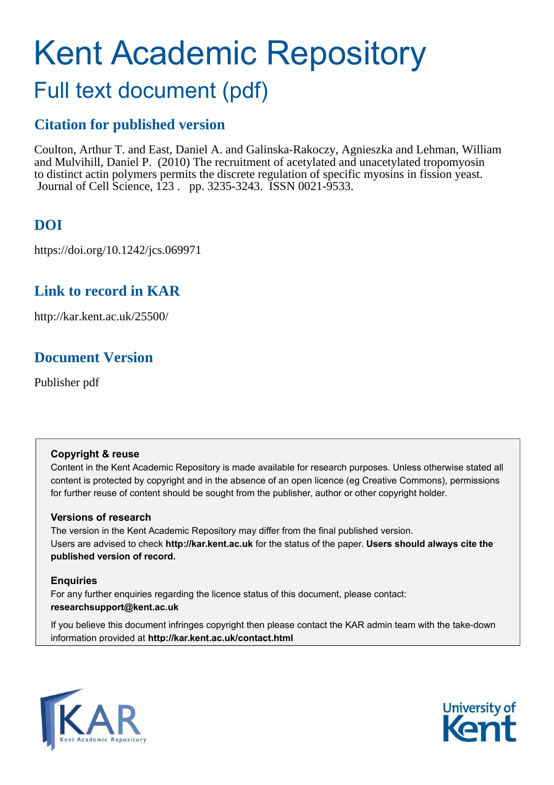# Kent Academic Repository

# Full text document (pdf)

# **Citation for published version**

Coulton, Arthur T. and East, Daniel A. and Galinska-Rakoczy, Agnieszka and Lehman, William and Mulvihill, Daniel P. (2010) The recruitment of acetylated and unacetylated tropomyosin to distinct actin polymers permits the discrete regulation of specific myosins in fission yeast. Journal of Cell Science, 123 . pp. 3235-3243. ISSN 0021-9533.

# **DOI**

https://doi.org/10.1242/jcs.069971

# **Link to record in KAR**

http://kar.kent.ac.uk/25500/

# **Document Version**

Publisher pdf

# **Copyright & reuse**

Content in the Kent Academic Repository is made available for research purposes. Unless otherwise stated all content is protected by copyright and in the absence of an open licence (eg Creative Commons), permissions for further reuse of content should be sought from the publisher, author or other copyright holder.

# **Versions of research**

The version in the Kent Academic Repository may differ from the final published version. Users are advised to check **http://kar.kent.ac.uk** for the status of the paper. **Users should always cite the published version of record.**

# **Enquiries**

For any further enquiries regarding the licence status of this document, please contact: **researchsupport@kent.ac.uk**

If you believe this document infringes copyright then please contact the KAR admin team with the take-down information provided at **http://kar.kent.ac.uk/contact.html**



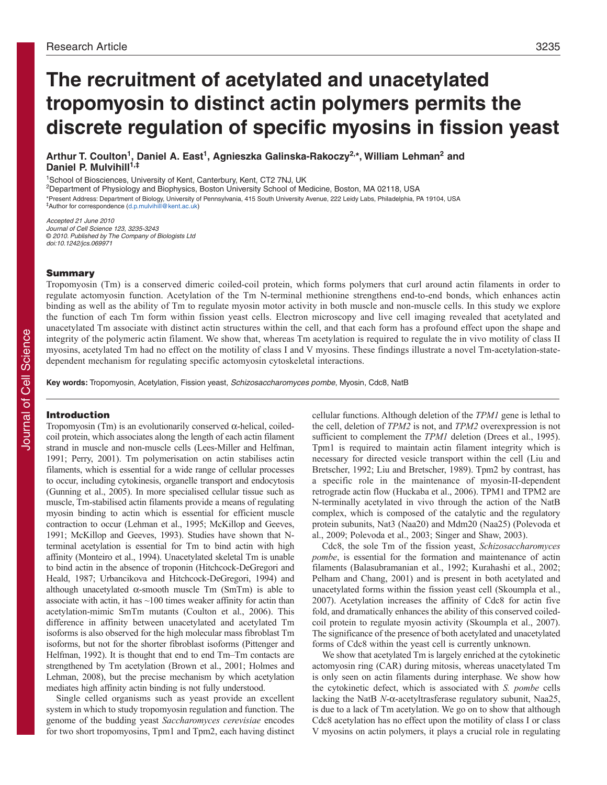# **The recruitment of acetylated and unacetylated tropomyosin to distinct actin polymers permits the discrete regulation of specific myosins in fission yeast**

**Arthur T. Coulton<sup>1</sup> , Daniel A. East<sup>1</sup> , Agnieszka Galinska-Rakoczy2,\*, William Lehman<sup>2</sup> and Daniel P. Mulvihill1,‡**

<sup>1</sup>School of Biosciences, University of Kent, Canterbury, Kent, CT2 7NJ, UK

<sup>2</sup>Department of Physiology and Biophysics, Boston University School of Medicine, Boston, MA 02118, USA

\*Present Address: Department of Biology, University of Pennsylvania, 415 South University Avenue, 222 Leidy Labs, Philadelphia, PA 19104, USA ‡Author for correspondence (d.p.mulvihill@kent.ac.uk)

Accepted 21 June 2010 Journal of Cell Science 123, 3235-3243 © 2010. Published by The Company of Biologists Ltd doi:10.1242/jcs.069971

#### Summary

Tropomyosin (Tm) is a conserved dimeric coiled-coil protein, which forms polymers that curl around actin filaments in order to regulate actomyosin function. Acetylation of the Tm N-terminal methionine strengthens end-to-end bonds, which enhances actin binding as well as the ability of Tm to regulate myosin motor activity in both muscle and non-muscle cells. In this study we explore the function of each Tm form within fission yeast cells. Electron microscopy and live cell imaging revealed that acetylated and unacetylated Tm associate with distinct actin structures within the cell, and that each form has a profound effect upon the shape and integrity of the polymeric actin filament. We show that, whereas Tm acetylation is required to regulate the in vivo motility of class II myosins, acetylated Tm had no effect on the motility of class I and V myosins. These findings illustrate a novel Tm-acetylation-statedependent mechanism for regulating specific actomyosin cytoskeletal interactions.

**Key words:** Tropomyosin, Acetylation, Fission yeast, Schizosaccharomyces pombe, Myosin, Cdc8, NatB

## Introduction

Tropomyosin (Tm) is an evolutionarily conserved  $\alpha$ -helical, coiledcoil protein, which associates along the length of each actin filament strand in muscle and non-muscle cells (Lees-Miller and Helfman, 1991; Perry, 2001). Tm polymerisation on actin stabilises actin filaments, which is essential for a wide range of cellular processes to occur, including cytokinesis, organelle transport and endocytosis (Gunning et al., 2005). In more specialised cellular tissue such as muscle, Tm-stabilised actin filaments provide a means of regulating myosin binding to actin which is essential for efficient muscle contraction to occur (Lehman et al., 1995; McKillop and Geeves, 1991; McKillop and Geeves, 1993). Studies have shown that Nterminal acetylation is essential for Tm to bind actin with high affinity (Monteiro et al., 1994). Unacetylated skeletal Tm is unable to bind actin in the absence of troponin (Hitchcock-DeGregori and Heald, 1987; Urbancikova and Hitchcock-DeGregori, 1994) and although unacetylated  $\alpha$ -smooth muscle Tm (SmTm) is able to associate with actin, it has  $\sim$ 100 times weaker affinity for actin than acetylation-mimic SmTm mutants (Coulton et al., 2006). This difference in affinity between unacetylated and acetylated Tm isoforms is also observed for the high molecular mass fibroblast Tm isoforms, but not for the shorter fibroblast isoforms (Pittenger and Helfman, 1992). It is thought that end to end Tm–Tm contacts are strengthened by Tm acetylation (Brown et al., 2001; Holmes and Lehman, 2008), but the precise mechanism by which acetylation mediates high affinity actin binding is not fully understood.

Single celled organisms such as yeast provide an excellent system in which to study tropomyosin regulation and function. The genome of the budding yeast *Saccharomyces cerevisiae* encodes for two short tropomyosins, Tpm1 and Tpm2, each having distinct

cellular functions. Although deletion of the *TPM1* gene is lethal to the cell, deletion of *TPM2* is not, and *TPM2* overexpression is not sufficient to complement the *TPM1* deletion (Drees et al., 1995). Tpm1 is required to maintain actin filament integrity which is necessary for directed vesicle transport within the cell (Liu and Bretscher, 1992; Liu and Bretscher, 1989). Tpm2 by contrast, has a specific role in the maintenance of myosin-II-dependent retrograde actin flow (Huckaba et al., 2006). TPM1 and TPM2 are N-terminally acetylated in vivo through the action of the NatB complex, which is composed of the catalytic and the regulatory protein subunits, Nat3 (Naa20) and Mdm20 (Naa25) (Polevoda et al., 2009; Polevoda et al., 2003; Singer and Shaw, 2003).

Cdc8, the sole Tm of the fission yeast, *Schizosaccharomyces pombe*, is essential for the formation and maintenance of actin filaments (Balasubramanian et al., 1992; Kurahashi et al., 2002; Pelham and Chang, 2001) and is present in both acetylated and unacetylated forms within the fission yeast cell (Skoumpla et al., 2007). Acetylation increases the affinity of Cdc8 for actin five fold, and dramatically enhances the ability of this conserved coiledcoil protein to regulate myosin activity (Skoumpla et al., 2007). The significance of the presence of both acetylated and unacetylated forms of Cdc8 within the yeast cell is currently unknown.

We show that acetylated Tm is largely enriched at the cytokinetic actomyosin ring (CAR) during mitosis, whereas unacetylated Tm is only seen on actin filaments during interphase. We show how the cytokinetic defect, which is associated with *S. pombe* cells lacking the NatB  $N$ - $\alpha$ -acetyltrasferase regulatory subunit, Naa25, is due to a lack of Tm acetylation. We go on to show that although Cdc8 acetylation has no effect upon the motility of class I or class V myosins on actin polymers, it plays a crucial role in regulating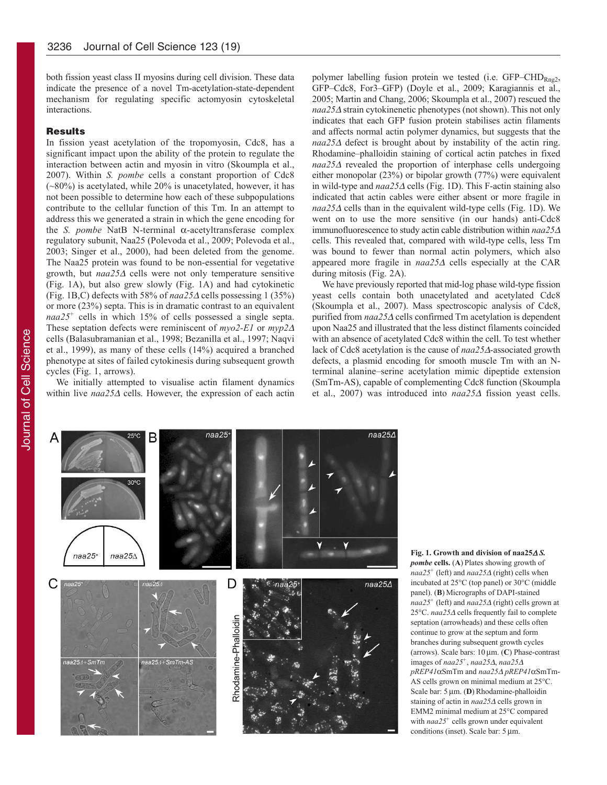both fission yeast class II myosins during cell division. These data indicate the presence of a novel Tm-acetylation-state-dependent mechanism for regulating specific actomyosin cytoskeletal interactions.

#### **Results**

In fission yeast acetylation of the tropomyosin, Cdc8, has a significant impact upon the ability of the protein to regulate the interaction between actin and myosin in vitro (Skoumpla et al., 2007). Within *S. pombe* cells a constant proportion of Cdc8 (~80%) is acetylated, while 20% is unacetylated, however, it has not been possible to determine how each of these subpopulations contribute to the cellular function of this Tm. In an attempt to address this we generated a strain in which the gene encoding for the *S. pombe* NatB N-terminal  $\alpha$ -acetyltransferase complex regulatory subunit, Naa25 (Polevoda et al., 2009; Polevoda et al., 2003; Singer et al., 2000), had been deleted from the genome. The Naa25 protein was found to be non-essential for vegetative growth, but *naa25*<sup>∀</sup> cells were not only temperature sensitive (Fig. 1A), but also grew slowly (Fig. 1A) and had cytokinetic (Fig. 1B,C) defects with 58% of  $naa25\Delta$  cells possessing 1 (35%) or more (23%) septa. This is in dramatic contrast to an equivalent *naa25:* cells in which 15% of cells possessed a single septa. These septation defects were reminiscent of *myo2-E1* or  $myp2∆$ cells (Balasubramanian et al., 1998; Bezanilla et al., 1997; Naqvi et al., 1999), as many of these cells (14%) acquired a branched phenotype at sites of failed cytokinesis during subsequent growth cycles (Fig. 1, arrows).

We initially attempted to visualise actin filament dynamics within live *naa25*∆ cells. However, the expression of each actin polymer labelling fusion protein we tested (i.e. GFP–CHD<sub>Rng2</sub>, GFP–Cdc8, For3–GFP) (Doyle et al., 2009; Karagiannis et al., 2005; Martin and Chang, 2006; Skoumpla et al., 2007) rescued the *naa25∆* strain cytokinenetic phenotypes (not shown). This not only indicates that each GFP fusion protein stabilises actin filaments and affects normal actin polymer dynamics, but suggests that the *naa25*∆ defect is brought about by instability of the actin ring. Rhodamine–phalloidin staining of cortical actin patches in fixed *naa25*∆ revealed the proportion of interphase cells undergoing either monopolar (23%) or bipolar growth (77%) were equivalent in wild-type and *naa25*<sup>∀</sup> cells (Fig. 1D). This F-actin staining also indicated that actin cables were either absent or more fragile in *naa25* $\triangle$  cells than in the equivalent wild-type cells (Fig. 1D). We went on to use the more sensitive (in our hands) anti-Cdc8 immunofluorescence to study actin cable distribution within *naa25*<sup>∀</sup> cells. This revealed that, compared with wild-type cells, less Tm was bound to fewer than normal actin polymers, which also appeared more fragile in *naa25*<sup>∀</sup> cells especially at the CAR during mitosis (Fig. 2A).

We have previously reported that mid-log phase wild-type fission yeast cells contain both unacetylated and acetylated Cdc8 (Skoumpla et al., 2007). Mass spectroscopic analysis of Cdc8, purified from *naa25*∆ cells confirmed Tm acetylation is dependent upon Naa25 and illustrated that the less distinct filaments coincided with an absence of acetylated Cdc8 within the cell. To test whether lack of Cdc8 acetylation is the cause of *naa25*∀-associated growth defects, a plasmid encoding for smooth muscle Tm with an Nterminal alanine–serine acetylation mimic dipeptide extension (SmTm-AS), capable of complementing Cdc8 function (Skoumpla et al., 2007) was introduced into *naa25*∆ fission yeast cells.



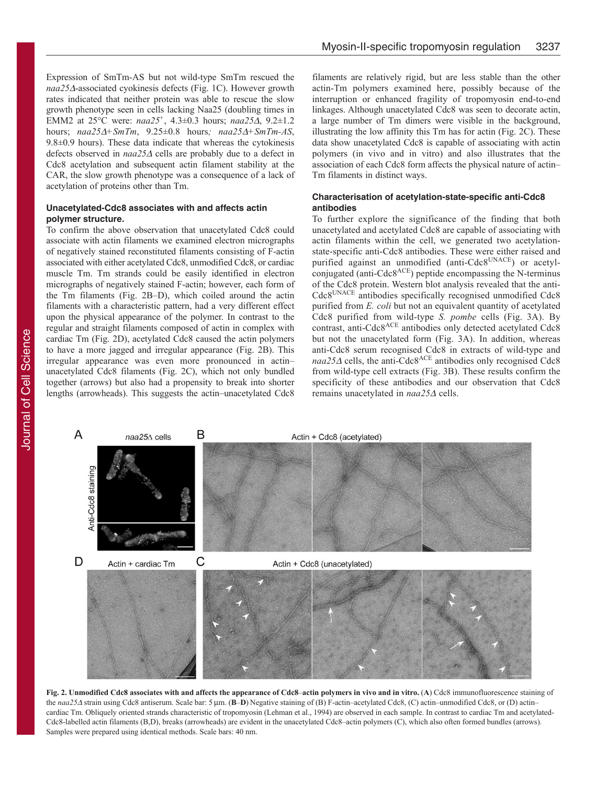Expression of SmTm-AS but not wild-type SmTm rescued the *naa25*∀-associated cyokinesis defects (Fig. 1C). However growth rates indicated that neither protein was able to rescue the slow growth phenotype seen in cells lacking Naa25 (doubling times in EMM2 at 25°C were: *naa25:* , 4.3±0.3 hours; *naa25*∀, 9.2±1.2 hours; *naa25*∀*:SmTm*, 9.25±0.8 hours*? naa25*∀*:SmTm-AS*, 9.8±0.9 hours). These data indicate that whereas the cytokinesis defects observed in *naa25*<sup>∀</sup> cells are probably due to a defect in Cdc8 acetylation and subsequent actin filament stability at the CAR, the slow growth phenotype was a consequence of a lack of acetylation of proteins other than Tm.

## **Unacetylated-Cdc8 associates with and affects actin polymer structure.**

To confirm the above observation that unacetylated Cdc8 could associate with actin filaments we examined electron micrographs of negatively stained reconstituted filaments consisting of F-actin associated with either acetylated Cdc8, unmodified Cdc8, or cardiac muscle Tm. Tm strands could be easily identified in electron micrographs of negatively stained F-actin; however, each form of the Tm filaments (Fig. 2B–D), which coiled around the actin filaments with a characteristic pattern, had a very different effect upon the physical appearance of the polymer. In contrast to the regular and straight filaments composed of actin in complex with cardiac Tm (Fig. 2D), acetylated Cdc8 caused the actin polymers to have a more jagged and irregular appearance (Fig. 2B). This irregular appearance was even more pronounced in actin– unacetylated Cdc8 filaments (Fig. 2C), which not only bundled together (arrows) but also had a propensity to break into shorter lengths (arrowheads). This suggests the actin–unacetylated Cdc8

filaments are relatively rigid, but are less stable than the other actin-Tm polymers examined here, possibly because of the interruption or enhanced fragility of tropomyosin end-to-end linkages. Although unacetylated Cdc8 was seen to decorate actin, a large number of Tm dimers were visible in the background, illustrating the low affinity this Tm has for actin (Fig. 2C). These data show unacetylated Cdc8 is capable of associating with actin polymers (in vivo and in vitro) and also illustrates that the association of each Cdc8 form affects the physical nature of actin– Tm filaments in distinct ways.

## **Characterisation of acetylation-state-specific anti-Cdc8 antibodies**

To further explore the significance of the finding that both unacetylated and acetylated Cdc8 are capable of associating with actin filaments within the cell, we generated two acetylationstate-specific anti-Cdc8 antibodies. These were either raised and purified against an unmodified (anti-Cdc8<sup>UNACE</sup>) or acetylconjugated (anti-Cdc8ACE) peptide encompassing the N-terminus of the Cdc8 protein. Western blot analysis revealed that the anti-Cdc8UNACE antibodies specifically recognised unmodified Cdc8 purified from *E. coli* but not an equivalent quantity of acetylated Cdc8 purified from wild-type *S. pombe* cells (Fig. 3A). By contrast, anti-Cdc8ACE antibodies only detected acetylated Cdc8 but not the unacetylated form (Fig. 3A). In addition, whereas anti-Cdc8 serum recognised Cdc8 in extracts of wild-type and  $naa25\Delta$  cells, the anti-Cdc8<sup>ACE</sup> antibodies only recognised Cdc8 from wild-type cell extracts (Fig. 3B). These results confirm the specificity of these antibodies and our observation that Cdc8 remains unacetylated in  $naa25∆$  cells.



Fig. 2. Unmodified Cdc8 associates with and affects the appearance of Cdc8–actin polymers in vivo and in vitro. (A) Cdc8 immunofluorescence staining of the *naa25*∆ strain using Cdc8 antiserum. Scale bar: 5 µm. (**B–D**) Negative staining of (B) F-actin–acetylated Cdc8, (C) actin–unmodified Cdc8, or (D) actin– cardiac Tm. Obliquely oriented strands characteristic of tropomyosin (Lehman et al., 1994) are observed in each sample. In contrast to cardiac Tm and acetylated-Cdc8-labelled actin filaments (B,D), breaks (arrowheads) are evident in the unacetylated Cdc8–actin polymers (C), which also often formed bundles (arrows). Samples were prepared using identical methods. Scale bars: 40 nm.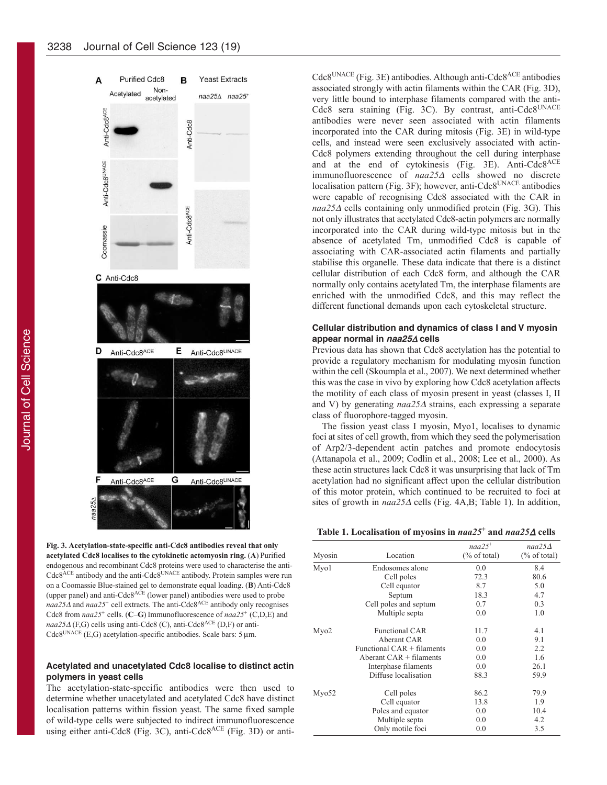

**Fig. 3. Acetylation-state-specific anti-Cdc8 antibodies reveal that only acetylated Cdc8 localises to the cytokinetic actomyosin ring. (A) Purified** endogenous and recombinant Cdc8 proteins were used to characterise the anti-Cdc8<sup>ACE</sup> antibody and the anti-Cdc8<sup>UNACE</sup> antibody. Protein samples were run on a Coomassie Blue-stained gel to demonstrate equal loading. (**9**) Anti-Cdc8 (upper panel) and anti-Cdc $8^{ACE}$  (lower panel) antibodies were used to probe *naa25∆* and *naa25*<sup>+</sup> cell extracts. The anti-Cdc8<sup>ACE</sup> antibody only recognises Cdc8 from  $naa25$ <sup>+</sup> cells. (C–G) Immunofluorescence of  $naa25$ <sup>+</sup> (C,D,E) and *naa25*<sup>∀</sup> (F,G) cells using anti-Cdc8 (C), anti-Cdc8ACE (D,F) or anti- $Cdc8^{UNACE}$  (E,G) acetylation-specific antibodies. Scale bars: 5  $\mu$ m.

## **Acetylated and unacetylated Cdc8 localise to distinct actin polymers in yeast cells**

The acetylation-state-specific antibodies were then used to determine whether unacetylated and acetylated Cdc8 have distinct localisation patterns within fission yeast. The same fixed sample of wild-type cells were subjected to indirect immunofluorescence using either anti-Cdc8 (Fig. 3C), anti-Cdc8ACE (Fig. 3D) or anti $Cdc8^{UNACE}$  (Fig. 3E) antibodies. Although anti- $Cdc8^{ACE}$  antibodies associated strongly with actin filaments within the CAR (Fig. 3D), very little bound to interphase filaments compared with the anti-Cdc8 sera staining (Fig. 3C). By contrast, anti-Cdc8UNACE antibodies were never seen associated with actin filaments incorporated into the CAR during mitosis (Fig. 3E) in wild-type cells, and instead were seen exclusively associated with actin-Cdc8 polymers extending throughout the cell during interphase and at the end of cytokinesis (Fig. 3E). Anti-Cdc8<sup>ACE</sup> immunofluorescence of *naa25*<sup>∀</sup> cells showed no discrete localisation pattern (Fig. 3F); however, anti-Cdc8UNACE antibodies were capable of recognising Cdc8 associated with the CAR in *naa25*∆ cells containing only unmodified protein (Fig. 3G). This not only illustrates that acetylated Cdc8-actin polymers are normally incorporated into the CAR during wild-type mitosis but in the absence of acetylated Tm, unmodified Cdc8 is capable of associating with CAR-associated actin filaments and partially stabilise this organelle. These data indicate that there is a distinct cellular distribution of each Cdc8 form, and although the CAR normally only contains acetylated Tm, the interphase filaments are enriched with the unmodified Cdc8, and this may reflect the different functional demands upon each cytoskeletal structure.

## **Cellular distribution and dynamics of class I and V myosin appear normal in naa25**<sup>∀</sup> **cells**

Previous data has shown that Cdc8 acetylation has the potential to provide a regulatory mechanism for modulating myosin function within the cell (Skoumpla et al., 2007). We next determined whether this was the case in vivo by exploring how Cdc8 acetylation affects the motility of each class of myosin present in yeast (classes I, II and V) by generating *naa25*<sup>∀</sup> strains, each expressing a separate class of fluorophore-tagged myosin.

The fission yeast class I myosin, Myo1, localises to dynamic foci at sites of cell growth, from which they seed the polymerisation of Arp2/3-dependent actin patches and promote endocytosis (Attanapola et al., 2009; Codlin et al., 2008; Lee et al., 2000). As these actin structures lack Cdc8 it was unsurprising that lack of Tm acetylation had no significant affect upon the cellular distribution of this motor protein, which continued to be recruited to foci at sites of growth in  $naa25\Delta$  cells (Fig. 4A,B; Table 1). In addition,

|  |  | Table 1. Localisation of myosins in $naa25+$ and $naa25\Delta$ cells |  |  |  |
|--|--|----------------------------------------------------------------------|--|--|--|
|  |  |                                                                      |  |  |  |

| Myosin            | Location                   | $naa25+$<br>$(\%$ of total) | $naa25\Delta$<br>$(\%$ of total) |
|-------------------|----------------------------|-----------------------------|----------------------------------|
| Myo1              | Endosomes alone            | 0.0                         | 8.4                              |
|                   | Cell poles                 | 72.3                        | 80.6                             |
|                   | Cell equator               | 8.7                         | 5.0                              |
|                   | Septum                     | 18.3                        | 4.7                              |
|                   | Cell poles and septum      | 0.7                         | 0.3                              |
|                   | Multiple septa             | 0.0                         | 1.0                              |
| Myo2              | <b>Functional CAR</b>      | 11.7                        | 4.1                              |
|                   | Aberant CAR                | 0.0                         | 9.1                              |
|                   | Functional CAR + filaments | 0.0                         | 2.2                              |
|                   | Aberant $CAR + filaments$  | 0.0                         | 1.6                              |
|                   | Interphase filaments       | 0.0                         | 26.1                             |
|                   | Diffuse localisation       | 88.3                        | 59.9                             |
| Mv <sub>052</sub> | Cell poles                 | 86.2                        | 79.9                             |
|                   | Cell equator               | 13.8                        | 1.9                              |
|                   | Poles and equator          | 0.0                         | 10.4                             |
|                   | Multiple septa             | 0.0                         | 4.2                              |
|                   | Only motile foci           | 0.0                         | 3.5                              |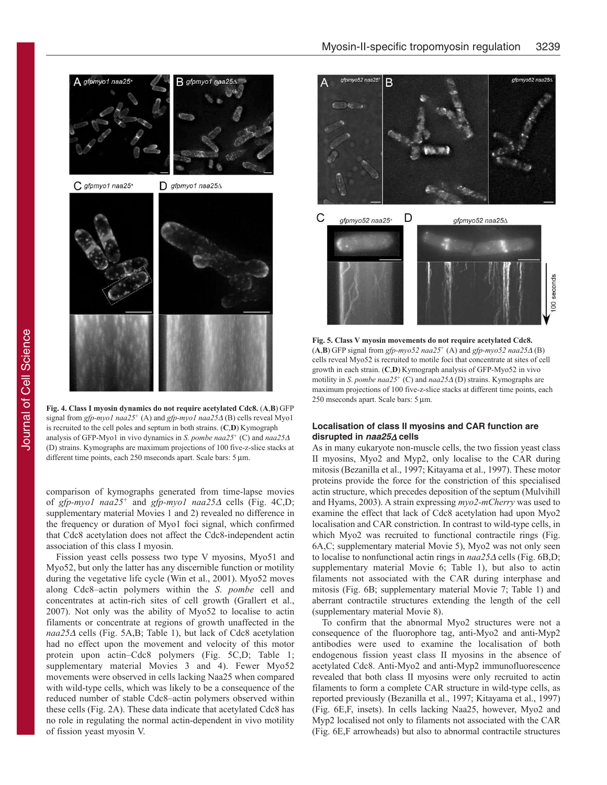

**Fig. 4. Class I myosin dynamics do not require acetylated Cdc8. (A,B) GFP** signal from *gfp-myo1 naa25:* (A) and *gfp-myo1 naa25*<sup>∀</sup> (B) cells reveal Myo1 is recruited to the cell poles and septum in both strains. (C,D) Kymograph analysis of GFP-Myo1 in vivo dynamics in *S*. *pombe naa25:* (C) and *naa25*<sup>∀</sup> (D) strains. Kymographs are maximum projections of 100 five-z-slice stacks at different time points, each 250 mseconds apart. Scale bars: 5 µm.

comparison of kymographs generated from time-lapse movies of *gfp-myo1 naa25:* and *gfp-myo1 naa25*<sup>∀</sup> cells (Fig. 4C,D; supplementary material Movies 1 and 2) revealed no difference in the frequency or duration of Myo1 foci signal, which confirmed that Cdc8 acetylation does not affect the Cdc8-independent actin association of this class I myosin.

Fission yeast cells possess two type V myosins, Myo51 and Myo52, but only the latter has any discernible function or motility during the vegetative life cycle (Win et al., 2001). Myo52 moves along Cdc8–actin polymers within the *S*. *pombe* cell and concentrates at actin-rich sites of cell growth (Grallert et al., 2007). Not only was the ability of Myo52 to localise to actin filaments or concentrate at regions of growth unaffected in the *naa25*<sup>∀</sup> cells (Fig. 5A,B; Table 1), but lack of Cdc8 acetylation had no effect upon the movement and velocity of this motor protein upon actin–Cdc8 polymers (Fig. 5C,D; Table 1; supplementary material Movies 3 and 4). Fewer Myo52 movements were observed in cells lacking Naa25 when compared with wild-type cells, which was likely to be a consequence of the reduced number of stable Cdc8–actin polymers observed within these cells (Fig. 2A). These data indicate that acetylated Cdc8 has no role in regulating the normal actin-dependent in vivo motility of fission yeast myosin V.



**Fig. 5. Class V myosin movements do not require acetylated Cdc8.**  $(A,B)$  GFP signal from *gfp-myo52 naa25*<sup>+</sup> (A) and *gfp-myo52 naa25* $\triangle$  (B) cells reveal Myo52 is recruited to motile foci that concentrate at sites of cell growth in each strain. (C,D) Kymograph analysis of GFP-Myo52 in vivo motility in *S*. *pombe naa25:* (C) and *naa25*<sup>∀</sup> (D) strains. Kymographs are maximum projections of 100 five-z-slice stacks at different time points, each 250 mseconds apart. Scale bars:  $5 \mu m$ .

## **Localisation of class II myosins and CAR function are disrupted in naa25**<sup>∀</sup> **cells**

As in many eukaryote non-muscle cells, the two fission yeast class II myosins, Myo2 and Myp2, only localise to the CAR during mitosis (Bezanilla et al., 1997; Kitayama et al., 1997). These motor proteins provide the force for the constriction of this specialised actin structure, which precedes deposition of the septum (Mulvihill and Hyams, 2003). A strain expressing *myo2-mCherry* was used to examine the effect that lack of Cdc8 acetylation had upon Myo2 localisation and CAR constriction. In contrast to wild-type cells, in which Myo2 was recruited to functional contractile rings (Fig. 6A,C; supplementary material Movie 5), Myo2 was not only seen to localise to nonfunctional actin rings in  $naa25∆$  cells (Fig. 6B,D; supplementary material Movie 6; Table 1), but also to actin filaments not associated with the CAR during interphase and mitosis (Fig. 6B; supplementary material Movie 7; Table 1) and aberrant contractile structures extending the length of the cell (supplementary material Movie 8).

To confirm that the abnormal Myo2 structures were not a consequence of the fluorophore tag, anti-Myo2 and anti-Myp2 antibodies were used to examine the localisation of both endogenous fission yeast class II myosins in the absence of acetylated Cdc8. Anti-Myo2 and anti-Myp2 immunofluorescence revealed that both class II myosins were only recruited to actin filaments to form a complete CAR structure in wild-type cells, as reported previously (Bezanilla et al., 1997; Kitayama et al., 1997) (Fig. 6E,F, insets). In cells lacking Naa25, however, Myo2 and Myp2 localised not only to filaments not associated with the CAR (Fig. 6E,F arrowheads) but also to abnormal contractile structures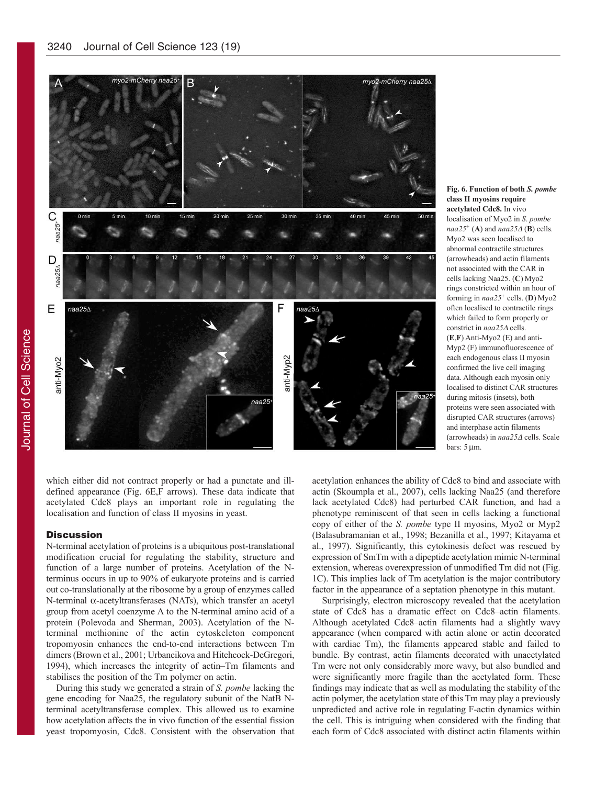

 ${\rm Fig.~6.~Function~of~both~S.~pombe}$ **f 570 571 671 671 671 671 671 671 671 671 671 671 671 671 671 671 671 671 671 671 671 671 671 671 671 671 671 671 671 671 671 671 671 671 671 671 6** acetylated Cdc8. In vivo localisation of Myo2 in *S*. *pombe*  $naa25<sup>+</sup>$  (**A**) and  $naa25\Delta$  (**B**) cells. Myo2 was seen localised to abnormal contractile structures (arrowheads) and actin filaments not associated with the CAR in cells lacking Naa25. (C) Myo2 rings constricted within an hour of forming in  $naa25$ <sup>+</sup> cells. (D) Myo2 often localised to contractile rings which failed to form properly or constrict in *naa25*<sup>∀</sup> cells. (**Μ**,**!**) Anti-Myo2 (E) and anti-Myp2 (F) immunofluorescence of each endogenous class II myosin confirmed the live cell imaging data. Although each myosin only localised to distinct CAR structures during mitosis (insets), both proteins were seen associated with disrupted CAR structures (arrows) and interphase actin filaments (arrowheads) in *naa25*<sup>∀</sup> cells. Scale bars:  $5 \mu m$ .

which either did not contract properly or had a punctate and illdefined appearance (Fig. 6E,F arrows). These data indicate that acetylated Cdc8 plays an important role in regulating the localisation and function of class II myosins in yeast.

### **Discussion**

N-terminal acetylation of proteins is a ubiquitous post-translational modification crucial for regulating the stability, structure and function of a large number of proteins. Acetylation of the Nterminus occurs in up to 90% of eukaryote proteins and is carried out co-translationally at the ribosome by a group of enzymes called N-terminal  $\alpha$ -acetyltransferases (NATs), which transfer an acetyl group from acetyl coenzyme A to the N-terminal amino acid of a protein (Polevoda and Sherman, 2003). Acetylation of the Nterminal methionine of the actin cytoskeleton component tropomyosin enhances the end-to-end interactions between Tm dimers (Brown et al., 2001; Urbancikova and Hitchcock-DeGregori, 1994), which increases the integrity of actin–Tm filaments and stabilises the position of the Tm polymer on actin.

During this study we generated a strain of *S. pombe* lacking the gene encoding for Naa25, the regulatory subunit of the NatB Nterminal acetyltransferase complex. This allowed us to examine how acetylation affects the in vivo function of the essential fission yeast tropomyosin, Cdc8. Consistent with the observation that acetylation enhances the ability of Cdc8 to bind and associate with actin (Skoumpla et al., 2007), cells lacking Naa25 (and therefore lack acetylated Cdc8) had perturbed CAR function, and had a phenotype reminiscent of that seen in cells lacking a functional copy of either of the *S. pombe* type II myosins, Myo2 or Myp2 (Balasubramanian et al., 1998; Bezanilla et al., 1997; Kitayama et al., 1997). Significantly, this cytokinesis defect was rescued by expression of SmTm with a dipeptide acetylation mimic N-terminal extension, whereas overexpression of unmodified Tm did not (Fig. 1C). This implies lack of Tm acetylation is the major contributory factor in the appearance of a septation phenotype in this mutant.

Surprisingly, electron microscopy revealed that the acetylation state of Cdc8 has a dramatic effect on Cdc8–actin filaments. Although acetylated Cdc8–actin filaments had a slightly wavy appearance (when compared with actin alone or actin decorated with cardiac Tm), the filaments appeared stable and failed to bundle. By contrast, actin filaments decorated with unacetylated Tm were not only considerably more wavy, but also bundled and were significantly more fragile than the acetylated form. These findings may indicate that as well as modulating the stability of the actin polymer, the acetylation state of this Tm may play a previously unpredicted and active role in regulating F-actin dynamics within the cell. This is intriguing when considered with the finding that each form of Cdc8 associated with distinct actin filaments within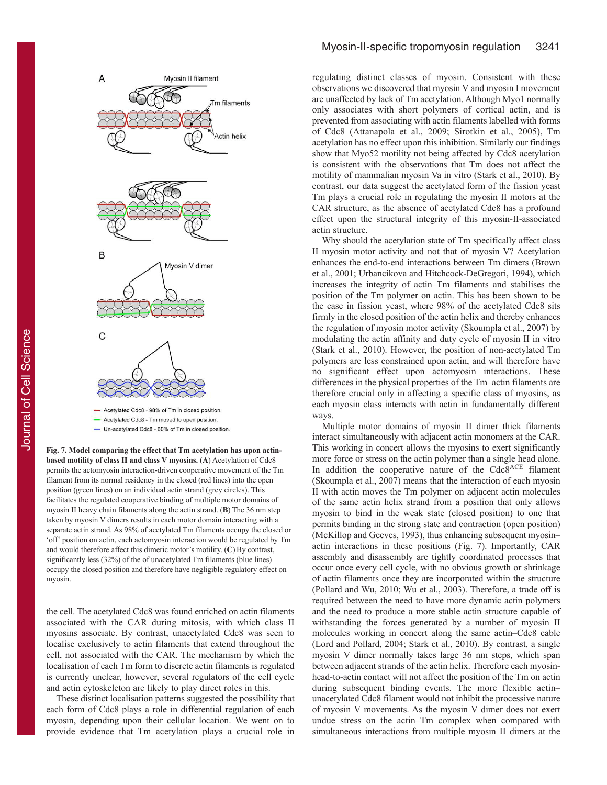

- Un-acetylated Cdc8 - 60% of Tm in closed position.

Fig. 7. Model comparing the effect that Tm acetylation has upon actin**based motility of class II and class V myosins. (A) Acetylation of Cdc8** permits the actomyosin interaction-driven cooperative movement of the Tm filament from its normal residency in the closed (red lines) into the open position (green lines) on an individual actin strand (grey circles). This facilitates the regulated cooperative binding of multiple motor domains of myosin II heavy chain filaments along the actin strand. (**9**) The 36 nm step taken by myosin V dimers results in each motor domain interacting with a separate actin strand. As 98% of acetylated Tm filaments occupy the closed or 'off' position on actin, each actomyosin interaction would be regulated by Tm and would therefore affect this dimeric motor's motility. (C) By contrast, significantly less (32%) of the of unacetylated Tm filaments (blue lines) occupy the closed position and therefore have negligible regulatory effect on myosin.

the cell. The acetylated Cdc8 was found enriched on actin filaments associated with the CAR during mitosis, with which class II myosins associate. By contrast, unacetylated Cdc8 was seen to localise exclusively to actin filaments that extend throughout the cell, not associated with the CAR. The mechanism by which the localisation of each Tm form to discrete actin filaments is regulated is currently unclear, however, several regulators of the cell cycle and actin cytoskeleton are likely to play direct roles in this.

These distinct localisation patterns suggested the possibility that each form of Cdc8 plays a role in differential regulation of each myosin, depending upon their cellular location. We went on to provide evidence that Tm acetylation plays a crucial role in regulating distinct classes of myosin. Consistent with these observations we discovered that myosin V and myosin I movement are unaffected by lack of Tm acetylation. Although Myo1 normally only associates with short polymers of cortical actin, and is prevented from associating with actin filaments labelled with forms of Cdc8 (Attanapola et al., 2009; Sirotkin et al., 2005), Tm acetylation has no effect upon this inhibition. Similarly our findings show that Myo52 motility not being affected by Cdc8 acetylation is consistent with the observations that Tm does not affect the motility of mammalian myosin Va in vitro (Stark et al., 2010). By contrast, our data suggest the acetylated form of the fission yeast Tm plays a crucial role in regulating the myosin II motors at the CAR structure, as the absence of acetylated Cdc8 has a profound effect upon the structural integrity of this myosin-II-associated actin structure.

Why should the acetylation state of Tm specifically affect class II myosin motor activity and not that of myosin V? Acetylation enhances the end-to-end interactions between Tm dimers (Brown et al., 2001; Urbancikova and Hitchcock-DeGregori, 1994), which increases the integrity of actin–Tm filaments and stabilises the position of the Tm polymer on actin. This has been shown to be the case in fission yeast, where 98% of the acetylated Cdc8 sits firmly in the closed position of the actin helix and thereby enhances the regulation of myosin motor activity (Skoumpla et al., 2007) by modulating the actin affinity and duty cycle of myosin II in vitro (Stark et al., 2010). However, the position of non-acetylated Tm polymers are less constrained upon actin, and will therefore have no significant effect upon actomyosin interactions. These differences in the physical properties of the Tm–actin filaments are therefore crucial only in affecting a specific class of myosins, as each myosin class interacts with actin in fundamentally different ways.

Multiple motor domains of myosin II dimer thick filaments interact simultaneously with adjacent actin monomers at the CAR. This working in concert allows the myosins to exert significantly more force or stress on the actin polymer than a single head alone. In addition the cooperative nature of the Cdc8ACE filament (Skoumpla et al., 2007) means that the interaction of each myosin II with actin moves the Tm polymer on adjacent actin molecules of the same actin helix strand from a position that only allows myosin to bind in the weak state (closed position) to one that permits binding in the strong state and contraction (open position) (McKillop and Geeves, 1993), thus enhancing subsequent myosin– actin interactions in these positions (Fig. 7). Importantly, CAR assembly and disassembly are tightly coordinated processes that occur once every cell cycle, with no obvious growth or shrinkage of actin filaments once they are incorporated within the structure (Pollard and Wu, 2010; Wu et al., 2003). Therefore, a trade off is required between the need to have more dynamic actin polymers and the need to produce a more stable actin structure capable of withstanding the forces generated by a number of myosin II molecules working in concert along the same actin–Cdc8 cable (Lord and Pollard, 2004; Stark et al., 2010). By contrast, a single myosin V dimer normally takes large 36 nm steps, which span between adjacent strands of the actin helix. Therefore each myosinhead-to-actin contact will not affect the position of the Tm on actin during subsequent binding events. The more flexible actin– unacetylated Cdc8 filament would not inhibit the processive nature of myosin V movements. As the myosin V dimer does not exert undue stress on the actin–Tm complex when compared with simultaneous interactions from multiple myosin II dimers at the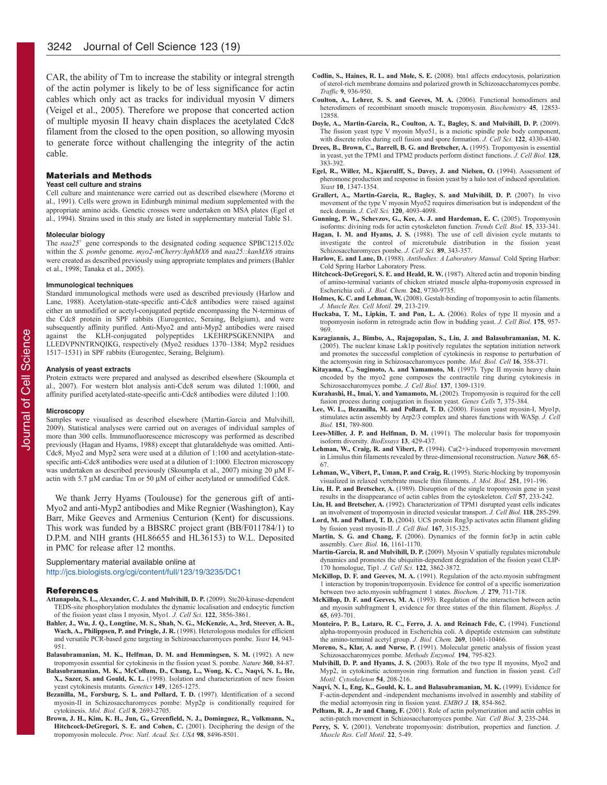CAR, the ability of Tm to increase the stability or integral strength of the actin polymer is likely to be of less significance for actin cables which only act as tracks for individual myosin V dimers (Veigel et al., 2005). Therefore we propose that concerted action of multiple myosin II heavy chain displaces the acetylated Cdc8 filament from the closed to the open position, so allowing myosin to generate force without challenging the integrity of the actin cable.

#### Materials and Methods

#### **Yeast cell culture and strains**

Cell culture and maintenance were carried out as described elsewhere (Moreno et al., 1991). Cells were grown in Edinburgh minimal medium supplemented with the appropriate amino acids. Genetic crosses were undertaken on MSA plates (Egel et al., 1994). Strains used in this study are listed in supplementary material Table S1.

#### **Molecular biology**

The  $naa25$ <sup>+</sup> gene corresponds to the designated coding sequence SPBC1215.02c within the *S. pombe genome. myo2-mCherry:hphMX6* and  $naa25::kanMX6$  strains were created as described previously using appropriate templates and primers (Bahler et al., 1998; Tanaka et al., 2005).

#### **Immunological techniques**

Standard immunological methods were used as described previously (Harlow and Lane, 1988). Acetylation-state-specific anti-Cdc8 antibodies were raised against either an unmodified or acetyl-conjugated peptide encompassing the N-terminus of the Cdc8 protein in SPF rabbits (Eurogentec, Seraing, Belgium), and were subsequently affinity purified. Anti-Myo2 and anti-Myp2 antibodies were raised against the KLH-conjugated polypeptides LKEHRPSGKENNIPA and LLEDVPNNTRNQIKG, respectively (Myo2 residues 1370–1384; Myp2 residues 1517–1531) in SPF rabbits (Eurogentec, Seraing, Belgium).

#### **Analysis of yeast extracts**

Protein extracts were prepared and analysed as described elsewhere (Skoumpla et al., 2007). For western blot analysis anti-Cdc8 serum was diluted 1:1000, and affinity purified acetylated-state-specific anti-Cdc8 antibodies were diluted 1:100.

#### **Microscopy**

Samples were visualised as described elsewhere (Martin-Garcia and Mulvihill, 2009). Statistical analyses were carried out on averages of individual samples of more than 300 cells. Immunofluorescence microscopy was performed as described previously (Hagan and Hyams, 1988) except that glutaraldehyde was omitted. Anti-Cdc8, Myo2 and Myp2 sera were used at a dilution of 1:100 and acetylation-statespecific anti-Cdc8 antibodies were used at a dilution of 1:1000. Electron microscopy was undertaken as described previously (Skoumpla et al., 2007) mixing 20 µM Factin with 5.7 μM cardiac Tm or 50 μM of either acetylated or unmodified Cdc8.

We thank Jerry Hyams (Toulouse) for the generous gift of anti-Myo2 and anti-Myp2 antibodies and Mike Regnier (Washington), Kay Barr, Mike Geeves and Armenius Centurion (Kent) for discussions. This work was funded by a BBSRC project grant (BB/F011784/1) to D.P.M. and NIH grants (HL86655 and HL36153) to W.L. Deposited in PMC for release after 12 months.

Supplementary material available online at http://jcs.biologists.org/cgi/content/full/123/19/3235/DC1

#### References

- Attanapola, S. L., Alexander, C. J. and Mulvihill, D. P. (2009). Ste20-kinase-dependent TEDS-site phosphorylation modulates the dynamic localisation and endocytic function of the fission yeast class I myosin, Myo1. *J. Cell Sci.* **122**, 3856-3861.
- Bahler, J., Wu, J. Q., Longtine, M. S., Shah, N. G., McKenzie, A., 3rd, Steever, A. B., **Wach, A., Philippsen, P. and Pringle, J. R.** (1998). Heterologous modules for efficient and versatile PCR-based gene targeting in Schizosaccharomyces pombe. *Yeast* 14, 943-951.
- **Balasubramanian, M. K., Helfman, D. M. and Hemmingsen, S. M.** (1992). A new tropomyosin essential for cytokinesis in the fission yeast S. pombe. *Nature* 360, 84-87.
- **Balasubramanian, M. K., McCollum, D., Chang, L., Wong, K. C., Naqvi, N. I., He, X., Sazer, S. and Gould, K. L.** (1998). Isolation and characterization of new fission yeast cytokinesis mutants. *Genetics* 149, 1265-1275.
- Bezanilla, M., Forsburg, S. L. and Pollard, T. D. (1997). Identification of a second myosin-II in Schizosaccharomyces pombe: Myp2p is conditionally required for cytokinesis. *Mol. Biol. Cell* **>**, 2693-2705.
- Brown, J. H., Kim, K. H., Jun, G., Greenfield, N. J., Dominguez, R., Volkmann, N., Hitchcock-DeGregori, S. E. and Cohen, C. (2001). Deciphering the design of the tropomyosin molecule. Proc. Natl. Acad. Sci. USA 98, 8496-8501.
- Codlin, S., Haines, R. L. and Mole, S. E. (2008). btn1 affects endocytosis, polarization of sterol-rich membrane domains and polarized growth in Schizosaccharomyces pombe. *Traffic* **⊥**, 936-950.
- Coulton, A., Lehrer, S. S. and Geeves, M. A. (2006). Functional homodimers and heterodimers of recombinant smooth muscle tropomyosin. *Biochemistry* 45, 12853-12858.
- **Dovle, A., Martin-Garcia, R., Coulton, A. T., Bagley, S. and Mulvihill, D. P.** (2009). The fission yeast type V myosin Myo51, is a meiotic spindle pole body component, with discrete roles during cell fusion and spore formation. *J. Cell Sci.* **122**, 4330-4340.
- Drees, B., Brown, C., Barrell, B. G. and Bretscher, A. (1995). Tropomyosin is essential in yeast, yet the TPM1 and TPM2 products perform distinct functions. *J. Cell Biol.* **128**, 383-392.
- Egel, R., Willer, M., Kjaerulff, S., Davey, J. and Nielsen, O. (1994). Assessment of pheromone production and response in fission yeast by a halo test of induced sporulation. *ϑeast* **&∴**, 1347-1354.
- Grallert, A., Martin-Garcia, R., Bagley, S. and Mulvihill, D. P. (2007). In vivo movement of the type V myosin Myo52 requires dimerisation but is independent of the neck domain. *J. Cell Sci.* **120**, 4093-4098.
- Gunning, P. W., Schevzov, G., Kee, A. J. and Hardeman, E. C. (2005). Tropomyosin isoforms: divining rods for actin cytoskeleton function. *Trends Cell. Biol.* **15**, 333-341.
- Hagan, I. M. and Hyams, J. S. (1988). The use of cell division cycle mutants to investigate the control of microtubule distribution in the fission yeast Schizosaccharomyces pombe. *J. Cell Sci.* **89**, 343-357.
- Harlow, E. and Lane, D. (1988). *Antibodies: A Laboratory Manual*. Cold Spring Harbor: Cold Spring Harbor Laboratory Press.
- Hitchcock-DeGregori, S. E. and Heald, R. W. (1987). Altered actin and troponin binding of amino-terminal variants of chicken striated muscle alpha-tropomyosin expressed in Escherichia coli. *Ι. Biol. Chem.* **3Λ3**, 9730-9735.
- **Holmes, K. C. and Lehman, W.** (2008). Gestalt-binding of tropomyosin to actin filaments. *Ι. Muscle Res. Cell Motil.* **3⊥**, 213-219.
- **Huckaba, T. M., Lipkin, T. and Pon, L. A.** (2006). Roles of type II myosin and a tropomyosin isoform in retrograde actin flow in budding yeast. *J. Cell Biol.* **175**, 957-969.
- Karagiannis, J., Bimbo, A., Rajagopalan, S., Liu, J. and Balasubramanian, M. K. (2005). The nuclear kinase Lsk1p positively regulates the septation initiation network and promotes the successful completion of cytokinesis in response to perturbation of the actomyosin ring in Schizosaccharomyces pombe. *Mol. Biol. Cell* **16**, 358-371.
- **Kitayama, C., Sugimoto, A. and Yamamoto, M.** (1997). Type II myosin heavy chain encoded by the myo2 gene composes the contractile ring during cytokinesis in Schizosaccharomyces pombe. *J. Cell Biol.* **137**, 1309-1319.
- **Kurahashi, H., Imai, Y. and Yamamoto, M.** (2002). Tropomyosin is required for the cell fusion process during conjugation in fission yeast. *Genes Cells* 7, 375-384.
- Lee, W. L., Bezanilla, M. and Pollard, T. D. (2000). Fission yeast myosin-I, Myo1p, stimulates actin assembly by Arp2/3 complex and shares functions with WASp. *Ι. Cell Biol.* **&4&**, 789-800.
- Lees-Miller, J. P. and Helfman, D. M. (1991). The molecular basis for tropomyosin isoform diversity. *BioEssays* **13**, 429-437.
- Lehman, W., Craig, R. and Vibert, P. (1994). Ca(2+)-induced tropomyosin movement in Limulus thin filaments revealed by three-dimensional reconstruction. *Nature* 368, 65-67.
- Lehman, W., Vibert, P., Uman, P. and Craig, R. (1995). Steric-blocking by tropomyosin visualized in relaxed vertebrate muscle thin filaments. *J. Mol. Biol.* **251**, 191-196.
- Liu, H. P. and Bretscher, A. (1989). Disruption of the single tropomyosin gene in yeast results in the disappearance of actin cables from the cytoskeleton. *Cell* 57, 233-242.
- Liu, H. and Bretscher, A. (1992). Characterization of TPM1 disrupted yeast cells indicates an involvement of tropomyosin in directed vesicular transport. *J. Cell Biol.* **118**, 285-299. Lord, M. and Pollard, T. D. (2004). UCS protein Rng3p activates actin filament gliding by fission yeast myosin-II. *J. Cell Biol.* **167**, 315-325.
- Martin, S. G. and Chang, F. (2006). Dynamics of the formin for3p in actin cable assembly. *Curr. Biol.* **16**, 1161-1170.
- Martin-Garcia, R. and Mulvihill, D. P. (2009). Myosin V spatially regulates microtubule dynamics and promotes the ubiquitin-dependent degradation of the fission yeast CLIP-**170 homologue, Tip1.** *J. Cell Sci.* **<b>122**, 3862-3872.
- **McKillop, D. F. and Geeves, M. A.** (1991). Regulation of the acto.myosin subfragment 1 interaction by troponin/tropomyosin. Evidence for control of a specific isomerization between two acto.myosin subfragment 1 states. *Biochem. J.* **279**, 711-718.
- **McKillop, D. F. and Geeves, M. A.** (1993). Regulation of the interaction between actin and myosin subfragment **&**, evidence for three states of the thin filament. *Biophys. Ι.* **65**, 693-701.
- **Monteiro, P. B., Lataro, R. C., Ferro, J. A. and Reinach Fde, C.** (1994). Functional alpha-tropomyosin produced in Escherichia coli. A dipeptide extension can substitute the amino-terminal acetyl group. *J. Biol. Chem.* **269**, 10461-10466.
- **Moreno, S., Klar, A. and Nurse, P.** (1991). Molecular genetic analysis of fission yeast Schizosaccharomyces pombe. *Methods Enzymol*. **194**, 795-823.
- Mulvihill, D. P. and Hyams, J. S. (2003). Role of the two type II myosins, Myo2 and Myp2, in cytokinetic actomyosin ring formation and function in fission yeast. *Cell Motil. Cytoskeleton* **54**, 208-216.
- Naqvi, N. I., Eng, K., Gould, K. L. and Balasubramanian, M. K. (1999). Evidence for F-actin-dependent and -independent mechanisms involved in assembly and stability of the medial actomyosin ring in fission yeast. *EMBO J*. **18**, 854-862.
- **Pelham, R. J., Jr and Chang, F.** (2001). Role of actin polymerization and actin cables in actin-patch movement in Schizosaccharomyces pombe. *Nat. Cell Biol.* **Α**, 235-244.
- **Perry, S. V.** (2001). Vertebrate tropomyosin: distribution, properties and function. *J. Muscle Res. Cell Motil.* **33**, 5-49.